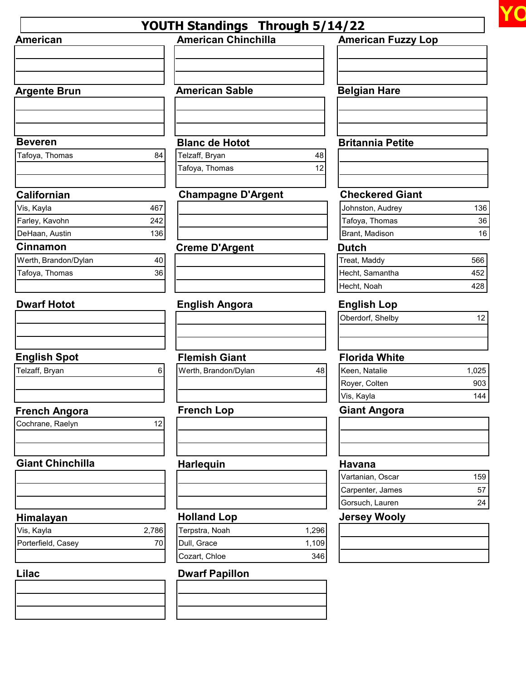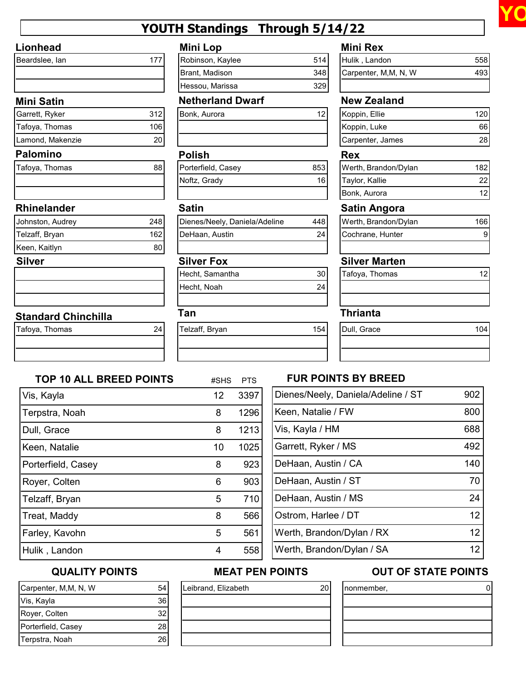

# **YOUTH Standings Through 5/14/22**

## **Lionhead**

| Beardslee, lan |  |
|----------------|--|
|                |  |
|                |  |

## **Mini Satin**

| Garrett, Ryker   | 312 |
|------------------|-----|
| Tafoya, Thomas   | 106 |
| Lamond, Makenzie |     |

## **Palomino**

| Tafoya, Thomas |  |
|----------------|--|
|                |  |
|                |  |

### **Rhinelander**

| Johnston, Audrey | 248 |
|------------------|-----|
| Telzaff, Bryan   | 162 |
| Keen, Kaitlyn    |     |

## **Silver**

## **Standard Chinchilla**

| Tafoya, Thomas |  |
|----------------|--|
|                |  |

| <b>Mini Lop</b> |  |
|-----------------|--|
|                 |  |
|                 |  |

| Robinson, Kaylee | 514 |
|------------------|-----|
| Brant, Madison   | 348 |
| Hessou, Marissa  | 329 |
|                  |     |

## **Netherland Dwarf New Zealand**

| Bonk, Aurora |  |
|--------------|--|
|              |  |
|              |  |

## **Polish Rex**

| Porterfield, Casey | 853 |
|--------------------|-----|
| Noftz, Grady       |     |
|                    |     |

| Dienes/Neely, Daniela/Adeline | 448 |
|-------------------------------|-----|
| DeHaan, Austin                | 24  |
|                               |     |

| Hecht, Samantha | 30 |
|-----------------|----|
| Hecht, Noah     | 24 |
|                 |    |

| Telzaff, Bryan |  |
|----------------|--|
|                |  |
|                |  |

## **Mini Rex**

| Hulik, Landon        | 558 l |
|----------------------|-------|
| Carpenter, M,M, N, W | 4931  |
|                      |       |

| 12<br>Bonk, Aurora | Koppin, Ellie    | 120 |
|--------------------|------------------|-----|
|                    | Koppin, Luke     | 66  |
|                    | Carpenter, James | 28  |

| Werth, Brandon/Dylan |                 |  |  |  |
|----------------------|-----------------|--|--|--|
| Taylor, Kallie       | 22 <sub>1</sub> |  |  |  |
| Bonk, Aurora         |                 |  |  |  |

## **Satin Satin Angora**

| Werth, Brandon/Dylan |  |
|----------------------|--|
| Cochrane, Hunter     |  |
|                      |  |

## **Silver Fox Silver Marten**

| Tafoya, Thomas |  |
|----------------|--|
|                |  |
|                |  |

## **Tan Thrianta**

| Telzaff, Bryan | 154 | Dull, Grace |  |
|----------------|-----|-------------|--|
|                |     |             |  |
|                |     |             |  |

| TOP 10 ALL BREED POINTS |
|-------------------------|
|-------------------------|

| <b>TOP 10 ALL BREED POINTS</b> | #SHS | <b>PTS</b> |
|--------------------------------|------|------------|
| Vis, Kayla                     | 12   | 3397       |
| Terpstra, Noah                 | 8    | 1296       |
| Dull, Grace                    | 8    | 1213       |
| Keen, Natalie                  | 10   | 1025       |
| Porterfield, Casey             | 8    | 923        |
| Royer, Colten                  | 6    | 903        |
| Telzaff, Bryan                 | 5    | 710        |
| Treat, Maddy                   | 8    | 566        |
| Farley, Kavohn                 | 5    | 561        |
| Hulik, Landon                  | 4    | 558        |

## **FUR POINTS BY BREED**

| Dienes/Neely, Daniela/Adeline / ST | 902 |
|------------------------------------|-----|
| Keen, Natalie / FW                 | 800 |
| Vis, Kayla / HM                    | 688 |
| Garrett, Ryker / MS                | 492 |
| DeHaan, Austin / CA                | 140 |
| DeHaan, Austin / ST                | 70  |
| DeHaan, Austin / MS                | 24  |
| Ostrom, Harlee / DT                | 12  |
| Werth, Brandon/Dylan / RX          | 12  |
| Werth, Brandon/Dylan / SA          |     |

## **QUALITY POINTS**

## Carpenter, M,M, N, W 54 Vis, Kayla 36 Royer, Colten 32 Porterfield, Casey 28 Terpstra, Noah 26

# Leibrand, Elizabeth 20

## **MEAT PEN POINTS OUT OF STATE POINTS**

| nonmember, |  |
|------------|--|
|            |  |
|            |  |
|            |  |
|            |  |